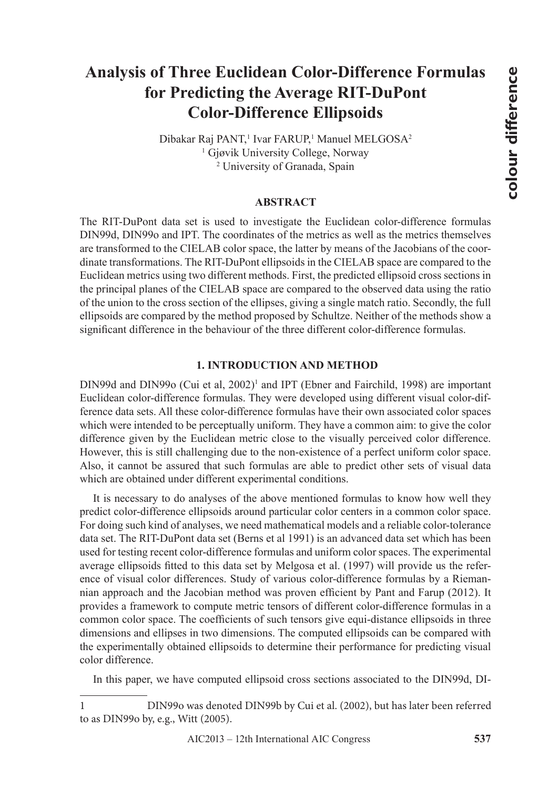# **Analysis of Three Euclidean Color-Difference Formulas for Predicting the Average RIT-DuPont Color-Difference Ellipsoids**

Dibakar Raj PANT,<sup>1</sup> Ivar FARUP,<sup>1</sup> Manuel MELGOSA<sup>2</sup> 1 Gjøvik University College, Norway 2 University of Granada, Spain

### **ABSTRACT**

The RIT-DuPont data set is used to investigate the Euclidean color-difference formulas DIN99d, DIN99o and IPT. The coordinates of the metrics as well as the metrics themselves are transformed to the CIELAB color space, the latter by means of the Jacobians of the coordinate transformations. The RIT-DuPont ellipsoids in the CIELAB space are compared to the Euclidean metrics using two different methods. First, the predicted ellipsoid cross sections in the principal planes of the CIELAB space are compared to the observed data using the ratio of the union to the cross section of the ellipses, giving a single match ratio. Secondly, the full ellipsoids are compared by the method proposed by Schultze. Neither of the methods show a significant difference in the behaviour of the three different color-difference formulas.

## **1. INTRODUCTION AND METHOD**

DIN99d and DIN99o (Cui et al, 2002)<sup>1</sup> and IPT (Ebner and Fairchild, 1998) are important Euclidean color-difference formulas. They were developed using different visual color-difference data sets. All these color-difference formulas have their own associated color spaces which were intended to be perceptually uniform. They have a common aim: to give the color difference given by the Euclidean metric close to the visually perceived color difference. However, this is still challenging due to the non-existence of a perfect uniform color space. Also, it cannot be assured that such formulas are able to predict other sets of visual data which are obtained under different experimental conditions.

It is necessary to do analyses of the above mentioned formulas to know how well they predict color-difference ellipsoids around particular color centers in a common color space. For doing such kind of analyses, we need mathematical models and a reliable color-tolerance data set. The RIT-DuPont data set (Berns et al 1991) is an advanced data set which has been used for testing recent color-difference formulas and uniform color spaces. The experimental average ellipsoids fitted to this data set by Melgosa et al. (1997) will provide us the reference of visual color differences. Study of various color-difference formulas by a Riemannian approach and the Jacobian method was proven efficient by Pant and Farup (2012). It provides a framework to compute metric tensors of different color-difference formulas in a common color space. The coefficients of such tensors give equi-distance ellipsoids in three dimensions and ellipses in two dimensions. The computed ellipsoids can be compared with the experimentally obtained ellipsoids to determine their performance for predicting visual color difference.

In this paper, we have computed ellipsoid cross sections associated to the DIN99d, DI-

<sup>1</sup> DIN99o was denoted DIN99b by Cui et al. (2002), but has later been referred to as DIN99o by, e.g., Witt (2005).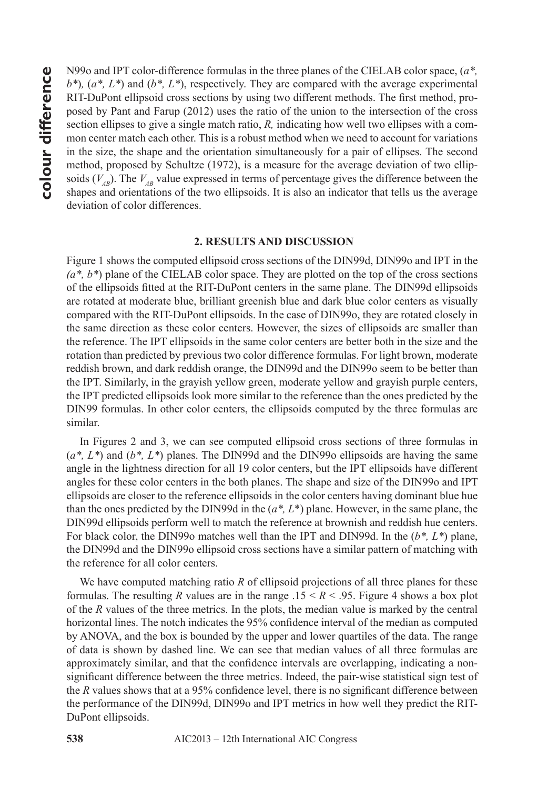**for an** IPT color-difference formulas in the three planes of the CIELAB color space,  $(a^*, b^*)$ ,  $(a^*, L^*)$  and  $(b^*, L^*)$ , respectively. They are compared with the average experimental RIT-DuPont ellipsoid cross sections by u *b\**)*,* (*a\*, L\**) and (*b\*, L\**), respectively. They are compared with the average experimental RIT-DuPont ellipsoid cross sections by using two different methods. The first method, proposed by Pant and Farup (2012) uses the ratio of the union to the intersection of the cross section ellipses to give a single match ratio, *R,* indicating how well two ellipses with a common center match each other. This is a robust method when we need to account for variations in the size, the shape and the orientation simultaneously for a pair of ellipses. The second method, proposed by Schultze (1972), is a measure for the average deviation of two ellipsoids  $(V_{AB})$ . The  $V_{AB}$  value expressed in terms of percentage gives the difference between the shapes and orientations of the two ellipsoids. It is also an indicator that tells us the average deviation of color differences.

#### **2. RESULTS AND DISCUSSION**

Figure 1 shows the computed ellipsoid cross sections of the DIN99d, DIN99o and IPT in the *(a\*, b\**) plane of the CIELAB color space. They are plotted on the top of the cross sections of the ellipsoids fitted at the RIT-DuPont centers in the same plane. The DIN99d ellipsoids are rotated at moderate blue, brilliant greenish blue and dark blue color centers as visually compared with the RIT-DuPont ellipsoids. In the case of DIN99o, they are rotated closely in the same direction as these color centers. However, the sizes of ellipsoids are smaller than the reference. The IPT ellipsoids in the same color centers are better both in the size and the rotation than predicted by previous two color difference formulas. For light brown, moderate reddish brown, and dark reddish orange, the DIN99d and the DIN99o seem to be better than the IPT. Similarly, in the grayish yellow green, moderate yellow and grayish purple centers, the IPT predicted ellipsoids look more similar to the reference than the ones predicted by the DIN99 formulas. In other color centers, the ellipsoids computed by the three formulas are similar.

In Figures 2 and 3, we can see computed ellipsoid cross sections of three formulas in (*a\*, L\**) and (*b\*, L\**) planes. The DIN99d and the DIN99o ellipsoids are having the same angle in the lightness direction for all 19 color centers, but the IPT ellipsoids have different angles for these color centers in the both planes. The shape and size of the DIN99o and IPT ellipsoids are closer to the reference ellipsoids in the color centers having dominant blue hue than the ones predicted by the DIN99d in the (*a\*, L*\*) plane. However, in the same plane, the DIN99d ellipsoids perform well to match the reference at brownish and reddish hue centers. For black color, the DIN99o matches well than the IPT and DIN99d. In the (*b\*, L\**) plane, the DIN99d and the DIN99o ellipsoid cross sections have a similar pattern of matching with the reference for all color centers.

We have computed matching ratio *R* of ellipsoid projections of all three planes for these formulas. The resulting *R* values are in the range  $.15 \leq R \leq .95$ . Figure 4 shows a box plot of the *R* values of the three metrics. In the plots, the median value is marked by the central horizontal lines. The notch indicates the 95% confidence interval of the median as computed by ANOVA, and the box is bounded by the upper and lower quartiles of the data. The range of data is shown by dashed line. We can see that median values of all three formulas are approximately similar, and that the confidence intervals are overlapping, indicating a nonsignificant difference between the three metrics. Indeed, the pair-wise statistical sign test of the *R* values shows that at a 95% confidence level, there is no significant difference between the performance of the DIN99d, DIN99o and IPT metrics in how well they predict the RIT-DuPont ellipsoids.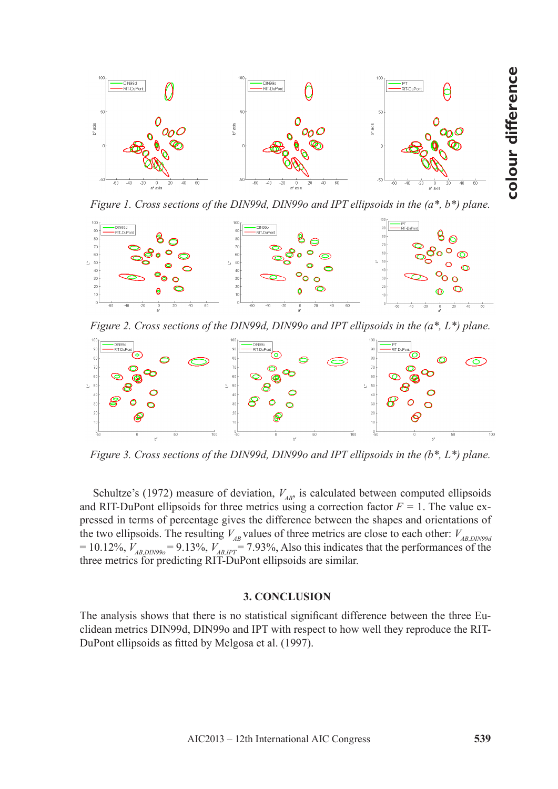

*Figure 1. Cross sections of the DIN99d, DIN99o and IPT ellipsoids in the (a\*, b\*) plane.*



*Figure 2. Cross sections of the DIN99d, DIN99o and IPT ellipsoids in the (a\*, L\*) plane.*



*Figure 3. Cross sections of the DIN99d, DIN99o and IPT ellipsoids in the (b\*, L\*) plane.*

Schultze's (1972) measure of deviation,  $V_{AB}$ , is calculated between computed ellipsoids and RIT-DuPont ellipsoids for three metrics using a correction factor  $F = 1$ . The value expressed in terms of percentage gives the difference between the shapes and orientations of the two ellipsoids. The resulting  $V_{AB}$  values of three metrics are close to each other:  $V_{AB,DIN99d}$  $= 10.12\%$ ,  $V_{AB,DIN990} = 9.13\%$ ,  $V_{AB,IPT} = 7.93\%$ , Also this indicates that the performances of the three metrics for predicting RIT-DuPont ellipsoids are similar.

## **3. CONCLUSION**

The analysis shows that there is no statistical significant difference between the three Euclidean metrics DIN99d, DIN99o and IPT with respect to how well they reproduce the RIT-DuPont ellipsoids as fitted by Melgosa et al. (1997).